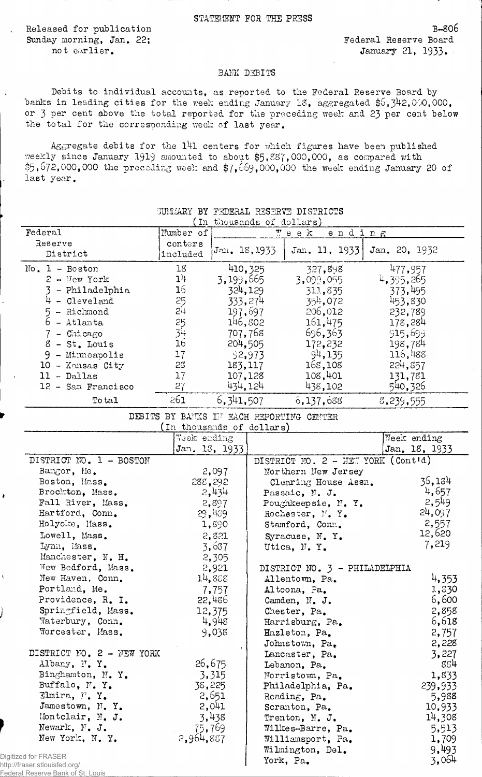Released, for publication Sunday morning, Jan. 22; not earlier.

b~so6 Federal Reserve Board January 21, 1933.

## BANK DEBITS

Debits to individual accounts, as reported to the Federal Reserve Board by banks in leading cities for the week ending January 18, aggregated \$6,342,000,000, or 3 per cent above the total reported for the preceding week and 23 per cent below the total for the corresponding week of last year.

Aggregate debits for the 141 centers for which figures have been published weekly since January 1919 amounted to about \$5,887,000,000, as compared with \$5,672,000,000 the preceding week and \$7,669,000,000 the week ending January 20 of last year.

|                                                       |                           |                                                                      |                                      | <b>SUMMARY BY FEDERAL RESERVE DISTRICTS</b> |               |                  |
|-------------------------------------------------------|---------------------------|----------------------------------------------------------------------|--------------------------------------|---------------------------------------------|---------------|------------------|
| Federal                                               | Number of                 | (In thousands of dollars)<br>$\overline{\mathbb{F}}$ e e k<br>ending |                                      |                                             |               |                  |
| Reserve                                               | centers                   |                                                                      |                                      |                                             |               |                  |
| District                                              | included                  | Jan. 18,1933                                                         |                                      | Jan. 11, 1933                               | Jan. 20, 1932 |                  |
| $No. 1 - Boston$                                      | 18                        | 410, 325                                                             |                                      | 327,898                                     |               | 477,957          |
| $2 -$ New York                                        | 14                        | 3,199,665                                                            |                                      | 3,099,055                                   | 4,395,265     |                  |
| 3 - Philadelphia                                      | 16 <sub>1</sub>           | 324,129                                                              |                                      | 311,835                                     |               | 37 <b>3,</b> 495 |
| 4 - Cleveland                                         | 25                        | 333, 274                                                             |                                      | 35 <sup>1</sup> ; 072                       |               | 453,830          |
| 5 - Richmond                                          | 5,1                       | 197,697                                                              |                                      | 206,012                                     |               | 232,789          |
| $6 - \text{Atlan}$ ta                                 | 25                        | 146,802                                                              |                                      | 161,475                                     |               | 178,284          |
| $7 -$ Chicago                                         | 34                        | 707,768                                                              |                                      | 696,363                                     | 915,699       |                  |
| $8 - St$ . Louis                                      | 16                        | 204,505                                                              |                                      | 172,232                                     |               | 198,784          |
| $9 -$ Minneapolis                                     | 17                        |                                                                      | 92,973                               | 94,135                                      |               | 116,488          |
| $10$ - Kansas City                                    | 23                        | 183,117                                                              |                                      | 168,108                                     | 224,857       |                  |
| $11 - Dallas$                                         | 17                        | 107,128                                                              |                                      | 108,401<br>131,781                          |               |                  |
| 12 - San Francisco                                    | 27                        | 434,124                                                              |                                      | 540,326<br>438,102                          |               |                  |
| To tal                                                | 261                       | 6, 341, 507                                                          |                                      | 6,137,688                                   | 8,239,555     |                  |
|                                                       |                           |                                                                      |                                      | DEBITS BY BANKS IN EACH PEPORTING CENTER    |               |                  |
|                                                       | (In thousands of dollars) |                                                                      |                                      |                                             |               |                  |
|                                                       | Week ending               |                                                                      |                                      |                                             |               | Week ending      |
|                                                       |                           | Jan. 18, 1933                                                        |                                      |                                             |               | Jan. 18, 1933    |
| DISTRICT NO. 1 - BOSTON                               |                           |                                                                      |                                      | DISTRICT NO. 2 - NEW YORK (Cont'd)          |               |                  |
| Bangor, Me.                                           |                           | 2,097                                                                |                                      | Northern New Jersey                         |               |                  |
| Boston, Mass.                                         | 288,292                   |                                                                      |                                      | Clearing House Assn.                        |               | 36,184           |
| Brockton, Mass.                                       |                           | 2,434                                                                |                                      | Passaic, N. J.                              |               | 4,657            |
| Fall River, Mass.                                     |                           | 2,897                                                                |                                      | Poughkeepsie, N.Y.                          |               | 2,549            |
| Hartford, Conn.                                       |                           | 29,439                                                               |                                      | Rochester, N.Y.                             |               | 24,097           |
| Holyoke, Mass.                                        |                           | 1,890                                                                |                                      | Stamford, Conn.                             |               | 2,557            |
| Lowell, Mass.                                         |                           | 2,821                                                                |                                      | Syracuse, N.Y.                              |               | 12,620           |
| Lynn, Mass.                                           |                           | 3,637                                                                |                                      | Utica, N.Y.                                 |               | 7,219            |
| Manchester, N. H.                                     |                           | 2,305                                                                |                                      |                                             |               |                  |
| New Bedford, Mass.                                    |                           | 2,921                                                                |                                      | DISTRICT NO. 3 - PHILADELPHIA               |               |                  |
| Y<br>New Haven, Conn.                                 |                           | 14,888                                                               | Allentown, Pa.                       |                                             |               | 4,353            |
| Portland, Me.                                         |                           | 7,757                                                                |                                      | Altoona, Pa.                                |               | 1,330            |
| Providence, R. I.                                     |                           | 22,486                                                               |                                      | Camden, N. J.                               |               | 6,600            |
| Springfield, Mass.                                    |                           | 12,375                                                               |                                      | Chester, Pa.                                |               | 2,858            |
| Waterbury, Conn.<br>Worcester, Mass.                  |                           | 4,948                                                                |                                      | Harrisburg, Pa.                             |               | 6,618            |
|                                                       |                           | 9,038                                                                |                                      | Hazleton, Pa.                               |               | 2,757            |
| DISTRICT NO. 2 - NEW YORK                             |                           |                                                                      |                                      | Johnstown, Pa.                              |               | 2,228            |
| Albany, N.Y.                                          |                           | 26,675                                                               |                                      | Lancaster, Pa.                              |               | 3,227<br>884     |
| Binghamton, N.Y.                                      |                           |                                                                      |                                      | Lebanon, Pa.                                |               | 1,833            |
| Buffalo, N.Y.                                         | 3,315<br>38,225           |                                                                      | Norristown, Pa.<br>Philadelphia, Pa. |                                             |               | 239,933          |
| Elmira, F.Y.                                          |                           | 2,651                                                                |                                      | Reading, Pa.                                |               | 5,988            |
| Jamestown, N.Y.                                       |                           | 2,041                                                                |                                      | Scranton, Pa.                               |               | 10,933           |
| Montclair, N. J.                                      |                           | 3,438                                                                |                                      | Trenton, N. J.                              |               | 14,308           |
| Newark, N. J.                                         | 75,769                    |                                                                      |                                      | Wilkes-Barre, Pa.                           |               | 5,513            |
| New York, N. Y.                                       | 2,964,887                 |                                                                      |                                      | Williamsport, Pa.                           |               | 1,709            |
|                                                       |                           |                                                                      |                                      | Wilmington, Del.                            |               | 9,493            |
| Digitized for FRASER<br>http://fraser.stlouisfed.org/ |                           |                                                                      |                                      | York, Pa.                                   |               | 3,064            |

http://fr Federal Reserve Bank of St. Louis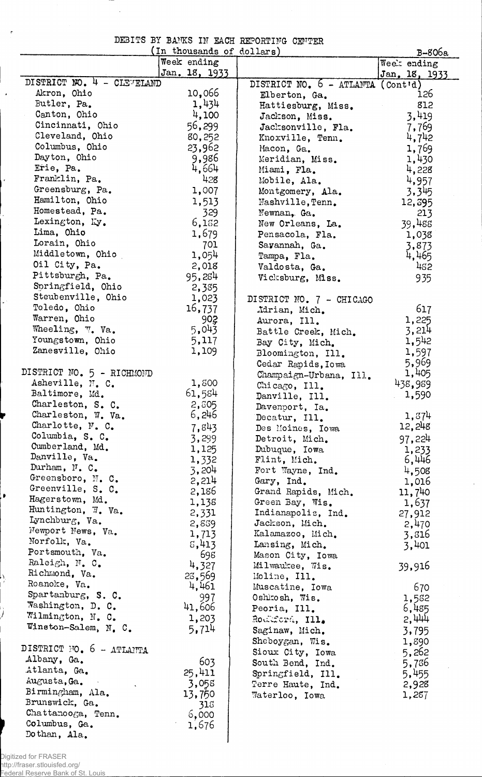|  |  | DEBITS BY BANKS IN EACH REPORTING CENTER |  |
|--|--|------------------------------------------|--|
|  |  |                                          |  |

 $\overline{a}$ 

 $\mathbf{r}$ 

 $\bar{\star}$ 

 $\mathbf{r}$ 

Ļ.

į,

h,

Ĵ

|                            | (In thousands of dollars) |                                            | B-806a                  |
|----------------------------|---------------------------|--------------------------------------------|-------------------------|
|                            | Week ending               |                                            | Week ending             |
|                            | Jan. 18, 1933             |                                            | Jan. 18, 1933           |
| DISTRICT NO. 4 - CLEVELAND |                           | DISTRICT NO. $6 - \text{ATLAMTA}$ (Contid) |                         |
| Akron, Ohio                | 10,066                    | Elberton, Ga.                              | 126                     |
| Butler, Pa.                | 1,434                     | Hattiesburg, Miss.                         | 812                     |
| Canton, Ohio               | 4,100                     | Jackson, Miss.                             | 3,419                   |
| Cincinnati, Ohio           | 56,299                    | Jacksonville, Fla.                         | 7,769                   |
| Cleveland, Ohio            | 80,252                    | Knoxville, Tenn.                           | 4,742                   |
| Columbus, Ohio             | 23,962                    | Macon, Ga.                                 | 1,769                   |
| Dayton, Ohio               | 9,986                     | Meridian, Miss.                            | 1,430                   |
| Erie, Pa.                  | 4,664                     | Miami, Fla.                                | 4,228                   |
| Franklin, Pa.              | 428                       | Mobile, Ala.                               | 4,957                   |
| Greensburg, Pa.            | 1,007                     | Montgomery, Ala.                           | 3,345                   |
| Hamilton, Ohio             | 1,513                     | Mashville, Tenn.                           | 12,395                  |
| Homestead, Pa.             | 329                       | Newnan, Ga.                                | 213                     |
| Lexington, Ky.             | 6,182                     | New Orleans, La.                           | 39,488                  |
| Lima, Ohio                 | 1,679                     | Pensacola, Fla.                            | 1,038                   |
| Lorain, Ohio               | 701                       | Sayannah, Ga.                              | 3,873                   |
| Middletown, Ohio           | 1,054                     | Tampa, Fla.                                | 4,465                   |
| Oil City, Pa.              | 2,018                     | Valdosta, Ga.                              | 482                     |
| Pittsburgh, Pa.            | 95,284                    | Vicksburg, Miss.                           | 935                     |
| Soringfield, Ohio          | 2,385                     |                                            |                         |
| Steubenville, Ohio         | 1,023                     | DISTRICT NO. 7 - CHICAGO                   |                         |
| Toledo, Ohio               | 16,737                    | Adrian, Mich.                              | 617                     |
| Warren, Ohio               | 902                       | Aurora, Ill.                               | 1,225                   |
| Wheeling, V. Va.           | 5,043                     | Battle Creek, Mich.                        | 3,214                   |
| Youngstown, Ohio           | 5,117                     | Bay City, Mich.                            | 1,542                   |
| Zanesville, Ohio           | 1,109                     | Bloomington, Ill.                          | 1,597                   |
|                            |                           | Cedar Rapids, Iowa                         | 5,969                   |
| DISTRICT NO. 5 - RICHMOND  |                           | Champaign-Urbana, Ill.                     | 1,405                   |
| Asheville, N. C.           | 1,800                     | Chicago, Ill.                              | 438,989                 |
| Baltimore, Md.             | 61,584                    | Danville, Ill.                             | 1,590                   |
| Charleston, S. C.          | 2,805                     | Davenport, Ia.                             |                         |
| Charleston, W. Va.         | 6,246                     | Decatur, Ill.                              | 1,374                   |
| Charlotte, N. C.           | 7,843                     | Des Moines, Iowa                           | 12,248                  |
| Columbia, S. C.            | 3,299                     | Detroit, Mich.                             | 97,224                  |
| Cumberland, Md.            | 1,125                     | Dubuque, Iowa                              |                         |
| Danville, Va.              | 1,332                     | Flint, Mich.                               | 1,233<br>6,446          |
| Durham, N. C.              | 3,204                     | Fort Wayne, Ind.                           |                         |
| Greensboro, N. C.          | 2,214                     | Gary, Ind.                                 | 4,508<br>1,016          |
| Greenville, S. C.          | 2,186                     | Grand Rapids, Mich.                        | 11,740                  |
| Hagerstown, Md.            | 1,138                     | Green Bay, Wis.                            |                         |
| Huntington, W. Va.         | 2,331                     | Indianapolis, Ind.                         | 1,637<br>27,912         |
| Lynchburg, Va.             | 2,839                     | Jackson, Mich.                             | 2,470                   |
| Newport News, Va.          | 1,713                     | Kalamazoo, Mich.                           | 3,816                   |
| Norfolk, Va.               | 5,413                     | Lansing, Mich.                             | 3,401                   |
| Portsmouth, Va.            | 698                       | Mason City, Iowa                           |                         |
| Raleigh, N. C.             | 4,327                     | Milwaukee, Wis.                            | 39,916                  |
| Richmond, Va.              | 23,569                    | Moline, Ill.                               |                         |
| Roanoke, Va.               | 4,461                     | Muscatine, Iowa                            | 670                     |
| Spartanburg, S. C.         | 997                       | Oshkosh, Wis.                              | 1,582                   |
| Washington, D. C.          | 41,606                    | Peoria, Ill.                               | 6,485                   |
| Wilmington, N. C.          | 1,203                     | Rodkford, Ill.                             | 2,444                   |
| Winston-Salem, N. C.       | 5.714                     |                                            |                         |
|                            |                           | Saginaw, Mich.                             | 3,795                   |
| DISTRICT FO. 6 - ATLANTA   |                           | Sheboygan, Wis.                            | 1,890                   |
| Albany, Ga.                | 603                       | Sioux City, Iowa                           | 5,262<br>$\sim 10^{-1}$ |
| Atlanta, Ga.               | 25,411                    | South Bend, Ind.                           | 5,736                   |
| Augusta, Ga.               |                           | Springfield, Ill.                          | 5,455                   |
| Birmingham, Ala.           | 3,058                     | Terre Haute, Ind.                          | 2,928                   |
| Brunswick, Ga.             | 13,750<br>315             | Waterloo, Iowa                             | 1,257                   |
| Chattanooga, Tenn.         | 6,000                     |                                            |                         |
| Columbus, Ga.              | 1,676                     |                                            |                         |
| Dothan, Ala.               |                           |                                            |                         |
|                            |                           |                                            |                         |

 $\hat{\boldsymbol{\beta}}$ 

Digitized for FRASER http://fraser.stlouisfed.org/

Federal Reserve Bank of St. Louis